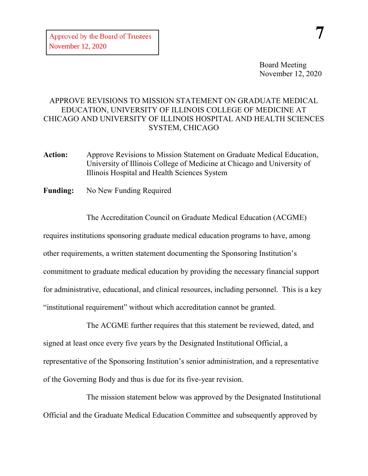## APPROVE REVISIONS TO MISSION STATEMENT ON GRADUATE MEDICAL EDUCATION, UNIVERSITY OF ILLINOIS COLLEGE OF MEDICINE AT CHICAGO AND UNIVERSITY OF ILLINOIS HOSPITAL AND HEALTH SCIENCES SYSTEM, CHICAGO

- **Action:** Approve Revisions to Mission Statement on Graduate Medical Education, University of Illinois College of Medicine at Chicago and University of Illinois Hospital and Health Sciences System
- **Funding:** No New Funding Required

The Accreditation Council on Graduate Medical Education (ACGME) requires institutions sponsoring graduate medical education programs to have, among other requirements, a written statement documenting the Sponsoring Institution's commitment to graduate medical education by providing the necessary financial support for administrative, educational, and clinical resources, including personnel. This is a key "institutional requirement" without which accreditation cannot be granted.

The ACGME further requires that this statement be reviewed, dated, and signed at least once every five years by the Designated Institutional Official, a representative of the Sponsoring Institution's senior administration, and a representative of the Governing Body and thus is due for its five-year revision.

The mission statement below was approved by the Designated Institutional Official and the Graduate Medical Education Committee and subsequently approved by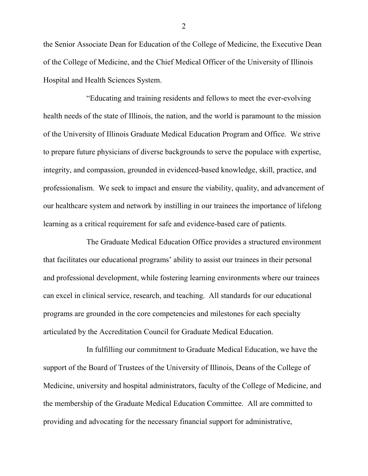the Senior Associate Dean for Education of the College of Medicine, the Executive Dean of the College of Medicine, and the Chief Medical Officer of the University of Illinois Hospital and Health Sciences System.

"Educating and training residents and fellows to meet the ever-evolving health needs of the state of Illinois, the nation, and the world is paramount to the mission of the University of Illinois Graduate Medical Education Program and Office. We strive to prepare future physicians of diverse backgrounds to serve the populace with expertise, integrity, and compassion, grounded in evidenced-based knowledge, skill, practice, and professionalism. We seek to impact and ensure the viability, quality, and advancement of our healthcare system and network by instilling in our trainees the importance of lifelong learning as a critical requirement for safe and evidence-based care of patients.

The Graduate Medical Education Office provides a structured environment that facilitates our educational programs' ability to assist our trainees in their personal and professional development, while fostering learning environments where our trainees can excel in clinical service, research, and teaching. All standards for our educational programs are grounded in the core competencies and milestones for each specialty articulated by the Accreditation Council for Graduate Medical Education.

In fulfilling our commitment to Graduate Medical Education, we have the support of the Board of Trustees of the University of Illinois, Deans of the College of Medicine, university and hospital administrators, faculty of the College of Medicine, and the membership of the Graduate Medical Education Committee. All are committed to providing and advocating for the necessary financial support for administrative,

2